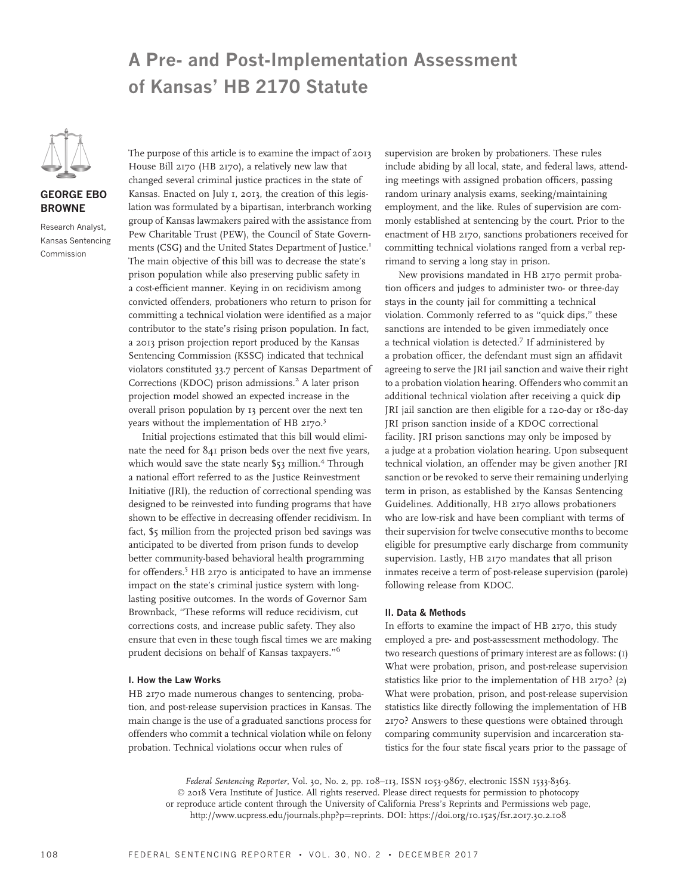# A Pre- and Post-Implementation Assessment of Kansas' HB 2170 Statute



## GEORGE EBO BROWNE

Research Analyst, Kansas Sentencing Commission

The purpose of this article is to examine the impact of 2013 House Bill 2170 (HB 2170), a relatively new law that changed several criminal justice practices in the state of Kansas. Enacted on July 1, 2013, the creation of this legislation was formulated by a bipartisan, interbranch working group of Kansas lawmakers paired with the assistance from Pew Charitable Trust (PEW), the Council of State Governments (CSG) and the United States Department of Justice.<sup>1</sup> The main objective of this bill was to decrease the state's prison population while also preserving public safety in a cost-efficient manner. Keying in on recidivism among convicted offenders, probationers who return to prison for committing a technical violation were identified as a major contributor to the state's rising prison population. In fact, a 2013 prison projection report produced by the Kansas Sentencing Commission (KSSC) indicated that technical violators constituted 33.7 percent of Kansas Department of Corrections (KDOC) prison admissions.<sup>2</sup> A later prison projection model showed an expected increase in the overall prison population by 13 percent over the next ten years without the implementation of HB 2170.<sup>3</sup>

Initial projections estimated that this bill would eliminate the need for 841 prison beds over the next five years, which would save the state nearly \$53 million.<sup>4</sup> Through a national effort referred to as the Justice Reinvestment Initiative (JRI), the reduction of correctional spending was designed to be reinvested into funding programs that have shown to be effective in decreasing offender recidivism. In fact, \$5 million from the projected prison bed savings was anticipated to be diverted from prison funds to develop better community-based behavioral health programming for offenders.<sup>5</sup> HB 2170 is anticipated to have an immense impact on the state's criminal justice system with longlasting positive outcomes. In the words of Governor Sam Brownback, ''These reforms will reduce recidivism, cut corrections costs, and increase public safety. They also ensure that even in these tough fiscal times we are making prudent decisions on behalf of Kansas taxpayers.''<sup>6</sup>

## I. How the Law Works

HB 2170 made numerous changes to sentencing, probation, and post-release supervision practices in Kansas. The main change is the use of a graduated sanctions process for offenders who commit a technical violation while on felony probation. Technical violations occur when rules of

supervision are broken by probationers. These rules include abiding by all local, state, and federal laws, attending meetings with assigned probation officers, passing random urinary analysis exams, seeking/maintaining employment, and the like. Rules of supervision are commonly established at sentencing by the court. Prior to the enactment of HB 2170, sanctions probationers received for committing technical violations ranged from a verbal reprimand to serving a long stay in prison.

New provisions mandated in HB 2170 permit probation officers and judges to administer two- or three-day stays in the county jail for committing a technical violation. Commonly referred to as ''quick dips,'' these sanctions are intended to be given immediately once a technical violation is detected.<sup>7</sup> If administered by a probation officer, the defendant must sign an affidavit agreeing to serve the JRI jail sanction and waive their right to a probation violation hearing. Offenders who commit an additional technical violation after receiving a quick dip JRI jail sanction are then eligible for a 120-day or 180-day JRI prison sanction inside of a KDOC correctional facility. JRI prison sanctions may only be imposed by a judge at a probation violation hearing. Upon subsequent technical violation, an offender may be given another JRI sanction or be revoked to serve their remaining underlying term in prison, as established by the Kansas Sentencing Guidelines. Additionally, HB 2170 allows probationers who are low-risk and have been compliant with terms of their supervision for twelve consecutive months to become eligible for presumptive early discharge from community supervision. Lastly, HB 2170 mandates that all prison inmates receive a term of post-release supervision (parole) following release from KDOC.

#### II. Data & Methods

In efforts to examine the impact of HB 2170, this study employed a pre- and post-assessment methodology. The two research questions of primary interest are as follows: (1) What were probation, prison, and post-release supervision statistics like prior to the implementation of HB 2170? (2) What were probation, prison, and post-release supervision statistics like directly following the implementation of HB 2170? Answers to these questions were obtained through comparing community supervision and incarceration statistics for the four state fiscal years prior to the passage of

Federal Sentencing Reporter, Vol. 30, No. 2, pp. 108–113, ISSN 1053-9867, electronic ISSN 1533-8363. © 2018 Vera Institute of Justice. All rights reserved. Please direct requests for permission to photocopy or reproduce article content through the University of California Press's Reprints and Permissions web page, http://www.ucpress.edu/journals.php?p=reprints. [DOI: https://doi.org/10.1525/fsr.2017.30.2.108](https://doi.org/10.1525/fsr.2017.30.2.108)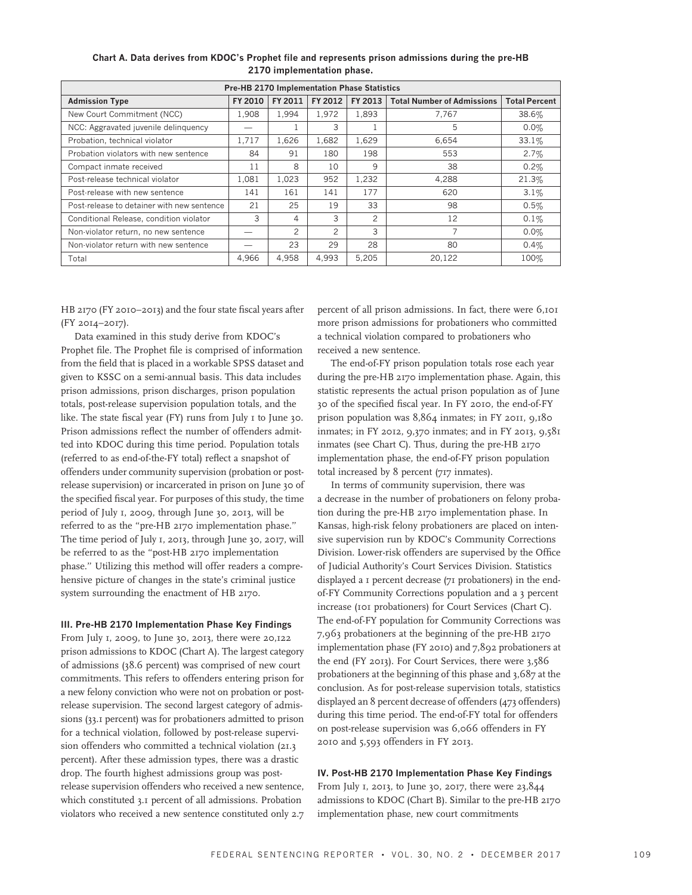| <b>Pre-HB 2170 Implementation Phase Statistics</b> |         |                |                |                |                                   |                      |  |  |  |
|----------------------------------------------------|---------|----------------|----------------|----------------|-----------------------------------|----------------------|--|--|--|
| <b>Admission Type</b>                              | FY 2010 | FY 2011        | FY 2012        | FY 2013        | <b>Total Number of Admissions</b> | <b>Total Percent</b> |  |  |  |
| New Court Commitment (NCC)                         | 1.908   | 1.994          | 1.972          | 1.893          | 7.767                             | 38.6%                |  |  |  |
| NCC: Aggravated juvenile delinquency               |         |                | 3              |                | 5                                 | $0.0\%$              |  |  |  |
| Probation, technical violator                      | 1.717   | 1,626          | 1.682          | 1.629          | 6.654                             | 33.1%                |  |  |  |
| Probation violators with new sentence              | 84      | 91             | 180            | 198            | 553                               | 2.7%                 |  |  |  |
| Compact inmate received                            | 11      | 8              | 10             | 9              | 38                                | 0.2%                 |  |  |  |
| Post-release technical violator                    | 1.081   | 1,023          | 952            | 1.232          | 4.288                             | 21.3%                |  |  |  |
| Post-release with new sentence                     | 141     | 161            | 141            | 177            | 620                               | 3.1%                 |  |  |  |
| Post-release to detainer with new sentence         | 21      | 25             | 19             | 33             | 98                                | 0.5%                 |  |  |  |
| Conditional Release, condition violator            | 3       | 4              | 3              | $\overline{c}$ | 12                                | $0.1\%$              |  |  |  |
| Non-violator return, no new sentence               |         | $\overline{c}$ | $\mathfrak{p}$ | 3              |                                   | $0.0\%$              |  |  |  |
| Non-violator return with new sentence              |         | 23             | 29             | 28             | 80                                | 0.4%                 |  |  |  |
| Total                                              | 4,966   | 4,958          | 4,993          | 5,205          | 20,122                            | 100%                 |  |  |  |

Chart A. Data derives from KDOC's Prophet file and represents prison admissions during the pre-HB 2170 implementation phase.

HB 2170 (FY 2010–2013) and the four state fiscal years after (FY 2014–2017).

Data examined in this study derive from KDOC's Prophet file. The Prophet file is comprised of information from the field that is placed in a workable SPSS dataset and given to KSSC on a semi-annual basis. This data includes prison admissions, prison discharges, prison population totals, post-release supervision population totals, and the like. The state fiscal year (FY) runs from July 1 to June 30. Prison admissions reflect the number of offenders admitted into KDOC during this time period. Population totals (referred to as end-of-the-FY total) reflect a snapshot of offenders under community supervision (probation or postrelease supervision) or incarcerated in prison on June 30 of the specified fiscal year. For purposes of this study, the time period of July 1, 2009, through June 30, 2013, will be referred to as the ''pre-HB 2170 implementation phase.'' The time period of July 1, 2013, through June 30, 2017, will be referred to as the ''post-HB 2170 implementation phase.'' Utilizing this method will offer readers a comprehensive picture of changes in the state's criminal justice system surrounding the enactment of HB 2170.

## III. Pre-HB 2170 Implementation Phase Key Findings

From July 1, 2009, to June 30, 2013, there were 20,122 prison admissions to KDOC (Chart A). The largest category of admissions (38.6 percent) was comprised of new court commitments. This refers to offenders entering prison for a new felony conviction who were not on probation or postrelease supervision. The second largest category of admissions (33.1 percent) was for probationers admitted to prison for a technical violation, followed by post-release supervision offenders who committed a technical violation (21.3 percent). After these admission types, there was a drastic drop. The fourth highest admissions group was postrelease supervision offenders who received a new sentence, which constituted 3.1 percent of all admissions. Probation violators who received a new sentence constituted only 2.7

percent of all prison admissions. In fact, there were 6,101 more prison admissions for probationers who committed a technical violation compared to probationers who received a new sentence.

The end-of-FY prison population totals rose each year during the pre-HB 2170 implementation phase. Again, this statistic represents the actual prison population as of June 30 of the specified fiscal year. In FY 2010, the end-of-FY prison population was 8,864 inmates; in FY 2011, 9,180 inmates; in FY 2012, 9,370 inmates; and in FY 2013, 9,581 inmates (see Chart C). Thus, during the pre-HB 2170 implementation phase, the end-of-FY prison population total increased by 8 percent (717 inmates).

In terms of community supervision, there was a decrease in the number of probationers on felony probation during the pre-HB 2170 implementation phase. In Kansas, high-risk felony probationers are placed on intensive supervision run by KDOC's Community Corrections Division. Lower-risk offenders are supervised by the Office of Judicial Authority's Court Services Division. Statistics displayed a 1 percent decrease (71 probationers) in the endof-FY Community Corrections population and a 3 percent increase (101 probationers) for Court Services (Chart C). The end-of-FY population for Community Corrections was 7,963 probationers at the beginning of the pre-HB 2170 implementation phase (FY 2010) and 7,892 probationers at the end (FY 2013). For Court Services, there were 3,586 probationers at the beginning of this phase and 3,687 at the conclusion. As for post-release supervision totals, statistics displayed an 8 percent decrease of offenders (473 offenders) during this time period. The end-of-FY total for offenders on post-release supervision was 6,066 offenders in FY 2010 and 5,593 offenders in FY 2013.

#### IV. Post-HB 2170 Implementation Phase Key Findings

From July 1, 2013, to June 30, 2017, there were 23,844 admissions to KDOC (Chart B). Similar to the pre-HB 2170 implementation phase, new court commitments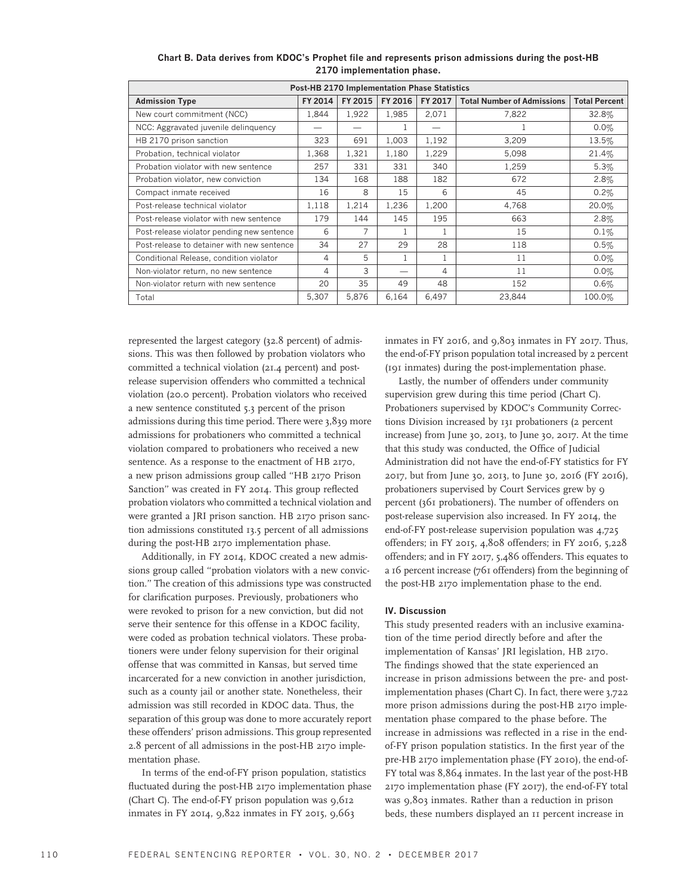| <b>Post-HB 2170 Implementation Phase Statistics</b> |         |                    |       |                |                                   |                      |  |  |  |
|-----------------------------------------------------|---------|--------------------|-------|----------------|-----------------------------------|----------------------|--|--|--|
| <b>Admission Type</b>                               | FY 2014 | FY 2016<br>FY 2015 |       | FY 2017        | <b>Total Number of Admissions</b> | <b>Total Percent</b> |  |  |  |
| New court commitment (NCC)                          | 1.844   | 1,922              | 1,985 | 2.071          | 7,822                             | 32.8%                |  |  |  |
| NCC: Aggravated juvenile delinquency                |         |                    |       |                |                                   | $0.0\%$              |  |  |  |
| HB 2170 prison sanction                             | 323     | 691                | 1,003 | 1,192          | 3,209                             | 13.5%                |  |  |  |
| Probation, technical violator                       | 1,368   | 1,321              | 1,180 | 1,229          | 5,098                             | 21.4%                |  |  |  |
| Probation violator with new sentence                | 257     | 331                | 331   | 340            | 1,259                             | 5.3%                 |  |  |  |
| Probation violator, new conviction                  | 134     | 168                | 188   | 182            | 672                               | 2.8%                 |  |  |  |
| Compact inmate received                             | 16      | 8                  | 15    | 6              | 45                                | 0.2%                 |  |  |  |
| Post-release technical violator                     | 1,118   | 1,214              | 1,236 | 1,200          | 4,768                             | 20.0%                |  |  |  |
| Post-release violator with new sentence             | 179     | 144                | 145   | 195            | 663                               | 2.8%                 |  |  |  |
| Post-release violator pending new sentence          | 6       |                    |       |                | 15                                | 0.1%                 |  |  |  |
| Post-release to detainer with new sentence          | 34      | 27                 | 29    | 28             | 118                               | 0.5%                 |  |  |  |
| Conditional Release, condition violator             | 4       | 5                  |       | $\overline{1}$ | 11                                | $0.0\%$              |  |  |  |
| Non-violator return, no new sentence                | 4       | 3                  |       | 4              | 11                                | 0.0%                 |  |  |  |
| Non-violator return with new sentence               | 20      | 35                 | 49    | 48             | 152                               | 0.6%                 |  |  |  |
| Total                                               | 5,307   | 5,876              | 6,164 | 6,497          | 23,844                            | 100.0%               |  |  |  |

Chart B. Data derives from KDOC's Prophet file and represents prison admissions during the post-HB 2170 implementation phase.

represented the largest category (32.8 percent) of admissions. This was then followed by probation violators who committed a technical violation (21.4 percent) and postrelease supervision offenders who committed a technical violation (20.0 percent). Probation violators who received a new sentence constituted 5.3 percent of the prison admissions during this time period. There were 3,839 more admissions for probationers who committed a technical violation compared to probationers who received a new sentence. As a response to the enactment of HB 2170, a new prison admissions group called ''HB 2170 Prison Sanction'' was created in FY 2014. This group reflected probation violators who committed a technical violation and were granted a JRI prison sanction. HB 2170 prison sanction admissions constituted 13.5 percent of all admissions during the post-HB 2170 implementation phase.

Additionally, in FY 2014, KDOC created a new admissions group called ''probation violators with a new conviction.'' The creation of this admissions type was constructed for clarification purposes. Previously, probationers who were revoked to prison for a new conviction, but did not serve their sentence for this offense in a KDOC facility, were coded as probation technical violators. These probationers were under felony supervision for their original offense that was committed in Kansas, but served time incarcerated for a new conviction in another jurisdiction, such as a county jail or another state. Nonetheless, their admission was still recorded in KDOC data. Thus, the separation of this group was done to more accurately report these offenders' prison admissions. This group represented 2.8 percent of all admissions in the post-HB 2170 implementation phase.

In terms of the end-of-FY prison population, statistics fluctuated during the post-HB 2170 implementation phase (Chart C). The end-of-FY prison population was 9,612 inmates in FY 2014, 9,822 inmates in FY 2015, 9,663

inmates in FY 2016, and 9,803 inmates in FY 2017. Thus, the end-of-FY prison population total increased by 2 percent (191 inmates) during the post-implementation phase.

Lastly, the number of offenders under community supervision grew during this time period (Chart C). Probationers supervised by KDOC's Community Corrections Division increased by 131 probationers (2 percent increase) from June 30, 2013, to June 30, 2017. At the time that this study was conducted, the Office of Judicial Administration did not have the end-of-FY statistics for FY 2017, but from June 30, 2013, to June 30, 2016 (FY 2016), probationers supervised by Court Services grew by 9 percent (361 probationers). The number of offenders on post-release supervision also increased. In FY 2014, the end-of-FY post-release supervision population was 4,725 offenders; in FY 2015, 4,808 offenders; in FY 2016, 5,228 offenders; and in FY 2017, 5,486 offenders. This equates to a 16 percent increase (761 offenders) from the beginning of the post-HB 2170 implementation phase to the end.

#### IV. Discussion

This study presented readers with an inclusive examination of the time period directly before and after the implementation of Kansas' JRI legislation, HB 2170. The findings showed that the state experienced an increase in prison admissions between the pre- and postimplementation phases (Chart C). In fact, there were 3,722 more prison admissions during the post-HB 2170 implementation phase compared to the phase before. The increase in admissions was reflected in a rise in the endof-FY prison population statistics. In the first year of the pre-HB 2170 implementation phase (FY 2010), the end-of-FY total was 8,864 inmates. In the last year of the post-HB 2170 implementation phase (FY 2017), the end-of-FY total was 9,803 inmates. Rather than a reduction in prison beds, these numbers displayed an 11 percent increase in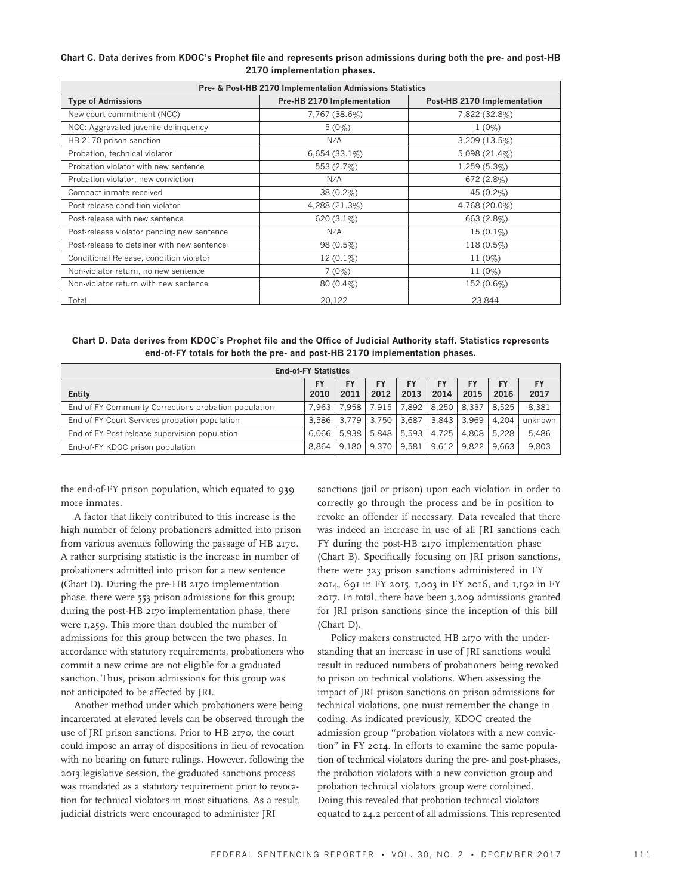|  | Chart C. Data derives from KDOC's Prophet file and represents prison admissions during both the pre- and post-HB |                             |  |  |  |
|--|------------------------------------------------------------------------------------------------------------------|-----------------------------|--|--|--|
|  |                                                                                                                  | 2170 implementation phases. |  |  |  |

| Pre- & Post-HB 2170 Implementation Admissions Statistics |                            |                             |  |  |  |  |
|----------------------------------------------------------|----------------------------|-----------------------------|--|--|--|--|
| <b>Type of Admissions</b>                                | Pre-HB 2170 Implementation | Post-HB 2170 Implementation |  |  |  |  |
| New court commitment (NCC)                               | 7,767 (38.6%)              | 7,822 (32.8%)               |  |  |  |  |
| NCC: Aggravated juvenile delinquency                     | $5(0\%)$                   | $1(0\%)$                    |  |  |  |  |
| HB 2170 prison sanction                                  | N/A                        | $3,209(13.5\%)$             |  |  |  |  |
| Probation, technical violator                            | 6,654(33.1%)               | 5,098 (21.4%)               |  |  |  |  |
| Probation violator with new sentence                     | 553 (2.7%)                 | 1,259 (5.3%)                |  |  |  |  |
| Probation violator, new conviction                       | N/A                        | 672(2.8%)                   |  |  |  |  |
| Compact inmate received                                  | $38(0.2\%)$                | 45 $(0.2\%)$                |  |  |  |  |
| Post-release condition violator                          | 4,288 (21.3%)              | 4,768 (20.0%)               |  |  |  |  |
| Post-release with new sentence                           | 620 (3.1%)                 | 663 (2.8%)                  |  |  |  |  |
| Post-release violator pending new sentence               | N/A                        | $15(0.1\%)$                 |  |  |  |  |
| Post-release to detainer with new sentence               | $98(0.5\%)$                | $118(0.5\%)$                |  |  |  |  |
| Conditional Release, condition violator                  | $12(0.1\%)$                | $11(0\%)$                   |  |  |  |  |
| Non-violator return, no new sentence                     | $7(0\%)$                   | $11(0\%)$                   |  |  |  |  |
| Non-violator return with new sentence                    | $80(0.4\%)$                | 152 (0.6%)                  |  |  |  |  |
| Total                                                    | 20.122                     | 23.844                      |  |  |  |  |

Chart D. Data derives from KDOC's Prophet file and the Office of Judicial Authority staff. Statistics represents end-of-FY totals for both the pre- and post-HB 2170 implementation phases.

| <b>End-of-FY Statistics</b>                          |           |               |           |       |       |       |             |         |  |
|------------------------------------------------------|-----------|---------------|-----------|-------|-------|-------|-------------|---------|--|
|                                                      | <b>FY</b> | FY            | <b>FY</b> | FY    |       | FY    | <b>FY</b>   | FY      |  |
| Entity                                               | 2010      | 2011          | 2012      | 2013  | 2014  | 2015  | 2016        | 2017    |  |
| End of FY Community Corrections probation population | 7.963     | 7.958         | 7.915     | 7.892 | 8.250 | 8.337 | 8.525       | 8,381   |  |
| End-of-FY Court Services probation population        |           | $3.586$ 3.779 | 3.750     | 3.687 | 3.843 | 3.969 | 4.204       | unknown |  |
| End-of-FY Post-release supervision population        | $6.066$ I | 5.938         | 5.848     | 5.593 | 4.725 |       | 4.808 5.228 | 5,486   |  |
| End-of-FY KDOC prison population                     | 8.864     | 9.180         | 9.370     | 9.581 | 9.612 | 9.822 | 9.663       | 9,803   |  |

the end-of-FY prison population, which equated to 939 more inmates.

A factor that likely contributed to this increase is the high number of felony probationers admitted into prison from various avenues following the passage of HB 2170. A rather surprising statistic is the increase in number of probationers admitted into prison for a new sentence (Chart D). During the pre-HB 2170 implementation phase, there were 553 prison admissions for this group; during the post-HB 2170 implementation phase, there were 1,259. This more than doubled the number of admissions for this group between the two phases. In accordance with statutory requirements, probationers who commit a new crime are not eligible for a graduated sanction. Thus, prison admissions for this group was not anticipated to be affected by JRI.

Another method under which probationers were being incarcerated at elevated levels can be observed through the use of JRI prison sanctions. Prior to HB 2170, the court could impose an array of dispositions in lieu of revocation with no bearing on future rulings. However, following the 2013 legislative session, the graduated sanctions process was mandated as a statutory requirement prior to revocation for technical violators in most situations. As a result, judicial districts were encouraged to administer JRI

sanctions (jail or prison) upon each violation in order to correctly go through the process and be in position to revoke an offender if necessary. Data revealed that there was indeed an increase in use of all JRI sanctions each FY during the post-HB 2170 implementation phase (Chart B). Specifically focusing on JRI prison sanctions, there were 323 prison sanctions administered in FY 2014, 691 in FY 2015, 1,003 in FY 2016, and 1,192 in FY 2017. In total, there have been 3,209 admissions granted for JRI prison sanctions since the inception of this bill (Chart D).

Policy makers constructed HB 2170 with the understanding that an increase in use of JRI sanctions would result in reduced numbers of probationers being revoked to prison on technical violations. When assessing the impact of JRI prison sanctions on prison admissions for technical violations, one must remember the change in coding. As indicated previously, KDOC created the admission group ''probation violators with a new conviction'' in FY 2014. In efforts to examine the same population of technical violators during the pre- and post-phases, the probation violators with a new conviction group and probation technical violators group were combined. Doing this revealed that probation technical violators equated to 24.2 percent of all admissions. This represented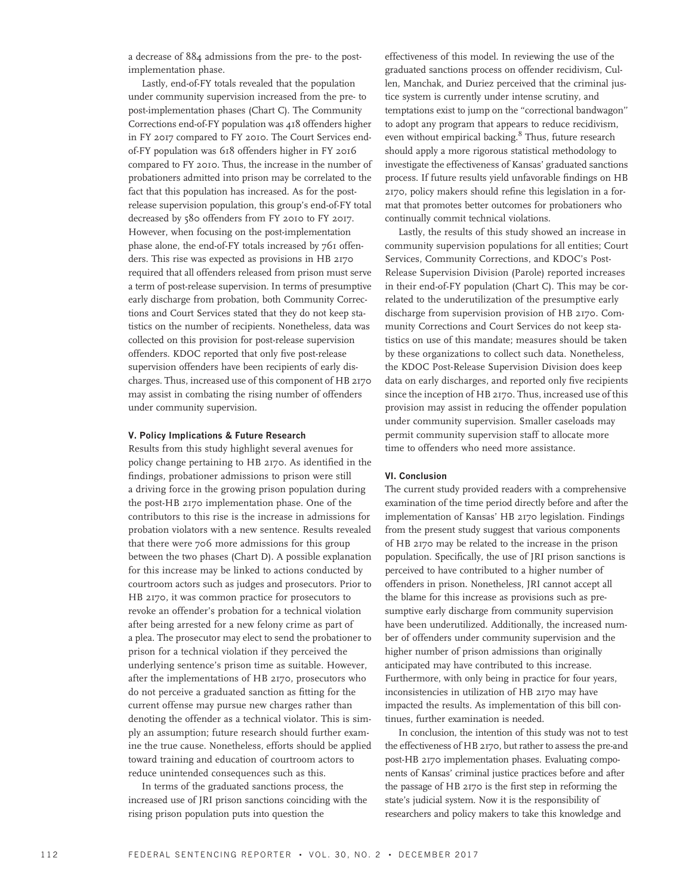a decrease of 884 admissions from the pre- to the postimplementation phase.

Lastly, end-of-FY totals revealed that the population under community supervision increased from the pre- to post-implementation phases (Chart C). The Community Corrections end-of-FY population was 418 offenders higher in FY 2017 compared to FY 2010. The Court Services endof-FY population was 618 offenders higher in FY 2016 compared to FY 2010. Thus, the increase in the number of probationers admitted into prison may be correlated to the fact that this population has increased. As for the postrelease supervision population, this group's end-of-FY total decreased by 580 offenders from FY 2010 to FY 2017. However, when focusing on the post-implementation phase alone, the end-of-FY totals increased by 761 offenders. This rise was expected as provisions in HB 2170 required that all offenders released from prison must serve a term of post-release supervision. In terms of presumptive early discharge from probation, both Community Corrections and Court Services stated that they do not keep statistics on the number of recipients. Nonetheless, data was collected on this provision for post-release supervision offenders. KDOC reported that only five post-release supervision offenders have been recipients of early discharges. Thus, increased use of this component of HB 2170 may assist in combating the rising number of offenders under community supervision.

#### V. Policy Implications & Future Research

Results from this study highlight several avenues for policy change pertaining to HB 2170. As identified in the findings, probationer admissions to prison were still a driving force in the growing prison population during the post-HB 2170 implementation phase. One of the contributors to this rise is the increase in admissions for probation violators with a new sentence. Results revealed that there were 706 more admissions for this group between the two phases (Chart D). A possible explanation for this increase may be linked to actions conducted by courtroom actors such as judges and prosecutors. Prior to HB 2170, it was common practice for prosecutors to revoke an offender's probation for a technical violation after being arrested for a new felony crime as part of a plea. The prosecutor may elect to send the probationer to prison for a technical violation if they perceived the underlying sentence's prison time as suitable. However, after the implementations of HB 2170, prosecutors who do not perceive a graduated sanction as fitting for the current offense may pursue new charges rather than denoting the offender as a technical violator. This is simply an assumption; future research should further examine the true cause. Nonetheless, efforts should be applied toward training and education of courtroom actors to reduce unintended consequences such as this.

In terms of the graduated sanctions process, the increased use of JRI prison sanctions coinciding with the rising prison population puts into question the

effectiveness of this model. In reviewing the use of the graduated sanctions process on offender recidivism, Cullen, Manchak, and Duriez perceived that the criminal justice system is currently under intense scrutiny, and temptations exist to jump on the ''correctional bandwagon'' to adopt any program that appears to reduce recidivism, even without empirical backing.<sup>8</sup> Thus, future research should apply a more rigorous statistical methodology to investigate the effectiveness of Kansas' graduated sanctions process. If future results yield unfavorable findings on HB 2170, policy makers should refine this legislation in a format that promotes better outcomes for probationers who continually commit technical violations.

Lastly, the results of this study showed an increase in community supervision populations for all entities; Court Services, Community Corrections, and KDOC's Post-Release Supervision Division (Parole) reported increases in their end-of-FY population (Chart C). This may be correlated to the underutilization of the presumptive early discharge from supervision provision of HB 2170. Community Corrections and Court Services do not keep statistics on use of this mandate; measures should be taken by these organizations to collect such data. Nonetheless, the KDOC Post-Release Supervision Division does keep data on early discharges, and reported only five recipients since the inception of HB 2170. Thus, increased use of this provision may assist in reducing the offender population under community supervision. Smaller caseloads may permit community supervision staff to allocate more time to offenders who need more assistance.

## VI. Conclusion

The current study provided readers with a comprehensive examination of the time period directly before and after the implementation of Kansas' HB 2170 legislation. Findings from the present study suggest that various components of HB 2170 may be related to the increase in the prison population. Specifically, the use of JRI prison sanctions is perceived to have contributed to a higher number of offenders in prison. Nonetheless, JRI cannot accept all the blame for this increase as provisions such as presumptive early discharge from community supervision have been underutilized. Additionally, the increased number of offenders under community supervision and the higher number of prison admissions than originally anticipated may have contributed to this increase. Furthermore, with only being in practice for four years, inconsistencies in utilization of HB 2170 may have impacted the results. As implementation of this bill continues, further examination is needed.

In conclusion, the intention of this study was not to test the effectiveness of HB 2170, but rather to assess the pre-and post-HB 2170 implementation phases. Evaluating components of Kansas' criminal justice practices before and after the passage of HB 2170 is the first step in reforming the state's judicial system. Now it is the responsibility of researchers and policy makers to take this knowledge and